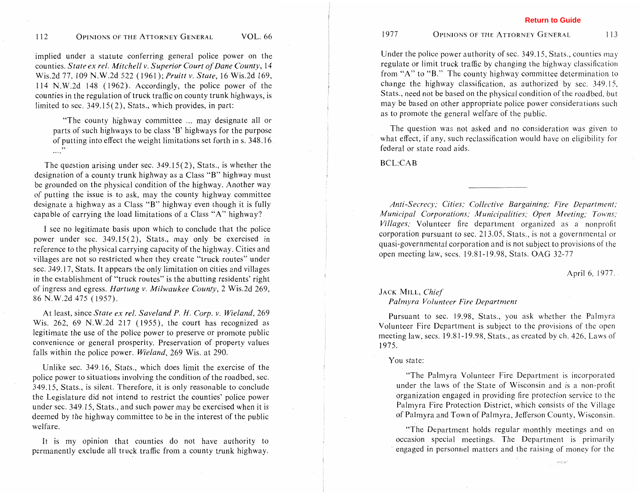implied under a statute conferring general police power on the counties. *State ex rel. Mitchell v. Superior Court of Dane County,* 14 Wis.2d 77, 109 N.W.2d 522 (1961 ); *Pruitt* v. *State,* 16 Wis.2d 169, 114 N.W.2d 148 ( 1962). Accordingly, the police power of the counties in the regulation of truck traffic on county trunk highways, is limited to sec. 349.15(2), Stats., which provides, in part:

"The county highway committee ... may designate all or parts of such highways to be class 'B' highways for the purpose of putting into effect the weight limitations set forth in s. 348.16 **77**  .,,.

The question arising under sec. 349.15(2), Stats., is whether the designation of a county trunk highway as a Class "B" highway must be grounded on the physical condition of the highway. Another way of putting the issue is to ask, may the county highway committee designate a highway as a Class "B" highway even though it is fully capable of carrying the load limitations of a Class "A" highway?

**1** see no legitimate basis upon which to conclude that the police power under sec. 349.15(2), Stats., may only be exercised in reference to the physical carrying capacity of the highway. Cities and villages are not so restricted when they create "truck routes" under sec. 349.17, Stats. It appears the only limitation on cities and villages in the establishment of "truck routes" is the abutting residents' right of ingress and egress. *Nartung* v. *Milwaukee County,* 2 Wis.2d 269, 86 N.W.2d 475 (1957).

At least, since *State ex rel. Saveland P. H. Corp. v. Wieland,* 269 Wis. 262, 69 N.W.2d 217 ( 1955), the court has recognized as legitimate the use of the police power to preserve or promote public convenience or general prosperity. Preservation of property values falls within the police power. *Wieland,* 269 Wis. at 290.

Unlike sec. 349.16, Stats., which does limit the exercise of the police power to situations involving the condition of the roadbed, sec. 349.15, Stats., is silent. Therefore, it is only reasonable to conclude the Legislature did not intend to restrict the counties' police power under sec. 349.15, Stats., and such power may be exercised when it is deemed by the highway committee to be in the interest of the public welfare.

It is my opinion that counties do not have authority to permanently exclude all truck traffic from a county trunk highway. **Return to Guide**

Under the police power authority of sec. 349.15, Stats., counties may regulate or limit truck traffic by changing the highway classification from "A" to "B." The county highway committee determination to change the highway classification, as authorized by sec. 349.15, Stats., need not be based on the physical condition of the roadbed, but may be based on other appropriate police power considerations such as to promote the general welfare of the public.

The question was not asked and no consideration was given to what effect, if any, such reclassification would have on eligibility for federal or state road aids.

**BCL:CAB** 

*Anti-Secrecy; Cities; Collective Bargaining; Fire Department; Municipal Corporations; Municipalities; Open Meeting; Towns; Villages,.* Volunteer fire department organized as a nonprofit corporation pursuant to sec. 21 3.05, Stats., is not a governmental or quasi-governmental corporation and is not subject to provisions of the open meeting law, secs. 19.8 1- 19.98, Stats. OAG 32-77

April 6, 1977.

## JACK MILL, *Chief*

## *Palrnyra Volunteer Fire Department*

Pursuant to sec. 19.98, Stats., you ask whether the Palmyra Volunteer Fire Department is subject to the provisions of the open meeting law, secs. 19.81-19.98, Stats., as created by ch. 426, Laws of 1975.

## You state:

"The Palmyra Volunteer Fire Department is incorporated under the laws of the State of Wisconsin and is a non-profit organization engaged in providing fire protection service to the Palmyra Fire Protection District, which consists of the Village of Palmyra and Town of Palmyra, Jefferson County, Wisconsin.

"The Department holds regular monthly meetings and on occasion special meetings. The Department is primarily engaged in personnel matters and the raising of money for the